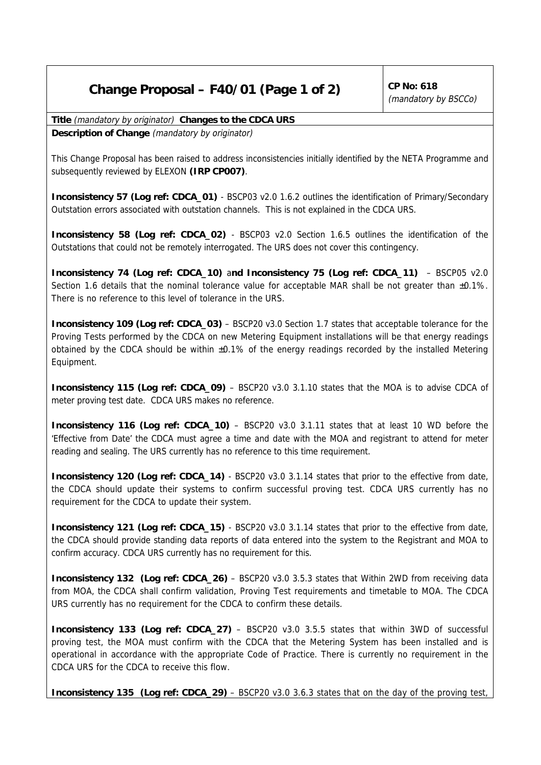# **Change Proposal – F40/01 (Page 1 of 2)**  $\int^{CP}$  No: 618

(mandatory by BSCCo)

**Title** (mandatory by originator) **Changes to the CDCA URS**

**Description of Change** (mandatory by originator)

This Change Proposal has been raised to address inconsistencies initially identified by the NETA Programme and subsequently reviewed by ELEXON **(IRP CP007)**.

**Inconsistency 57 (Log ref: CDCA\_01)** - BSCP03 v2.0 1.6.2 outlines the identification of Primary/Secondary Outstation errors associated with outstation channels. This is not explained in the CDCA URS.

**Inconsistency 58 (Log ref: CDCA\_02)** - BSCP03 v2.0 Section 1.6.5 outlines the identification of the Outstations that could not be remotely interrogated. The URS does not cover this contingency.

**Inconsistency 74 (Log ref: CDCA\_10)** a**nd Inconsistency 75 (Log ref: CDCA\_11)** – BSCP05 v2.0 Section 1.6 details that the nominal tolerance value for acceptable MAR shall be not greater than  $\pm 0.1\%$ . There is no reference to this level of tolerance in the URS.

**Inconsistency 109 (Log ref: CDCA\_03)** – BSCP20 v3.0 Section 1.7 states that acceptable tolerance for the Proving Tests performed by the CDCA on new Metering Equipment installations will be that energy readings obtained by the CDCA should be within ±0.1% of the energy readings recorded by the installed Metering Equipment.

**Inconsistency 115 (Log ref: CDCA\_09)** – BSCP20 v3.0 3.1.10 states that the MOA is to advise CDCA of meter proving test date. CDCA URS makes no reference.

**Inconsistency 116 (Log ref: CDCA\_10)** – BSCP20 v3.0 3.1.11 states that at least 10 WD before the 'Effective from Date' the CDCA must agree a time and date with the MOA and registrant to attend for meter reading and sealing. The URS currently has no reference to this time requirement.

**Inconsistency 120 (Log ref: CDCA\_14)** - BSCP20 v3.0 3.1.14 states that prior to the effective from date, the CDCA should update their systems to confirm successful proving test. CDCA URS currently has no requirement for the CDCA to update their system.

**Inconsistency 121 (Log ref: CDCA\_15)** - BSCP20 v3.0 3.1.14 states that prior to the effective from date, the CDCA should provide standing data reports of data entered into the system to the Registrant and MOA to confirm accuracy. CDCA URS currently has no requirement for this.

**Inconsistency 132 (Log ref: CDCA\_26)** – BSCP20 v3.0 3.5.3 states that Within 2WD from receiving data from MOA, the CDCA shall confirm validation, Proving Test requirements and timetable to MOA. The CDCA URS currently has no requirement for the CDCA to confirm these details.

**Inconsistency 133 (Log ref: CDCA\_27)** – BSCP20 v3.0 3.5.5 states that within 3WD of successful proving test, the MOA must confirm with the CDCA that the Metering System has been installed and is operational in accordance with the appropriate Code of Practice. There is currently no requirement in the CDCA URS for the CDCA to receive this flow.

**Inconsistency 135 (Log ref: CDCA\_29)** – BSCP20 v3.0 3.6.3 states that on the day of the proving test,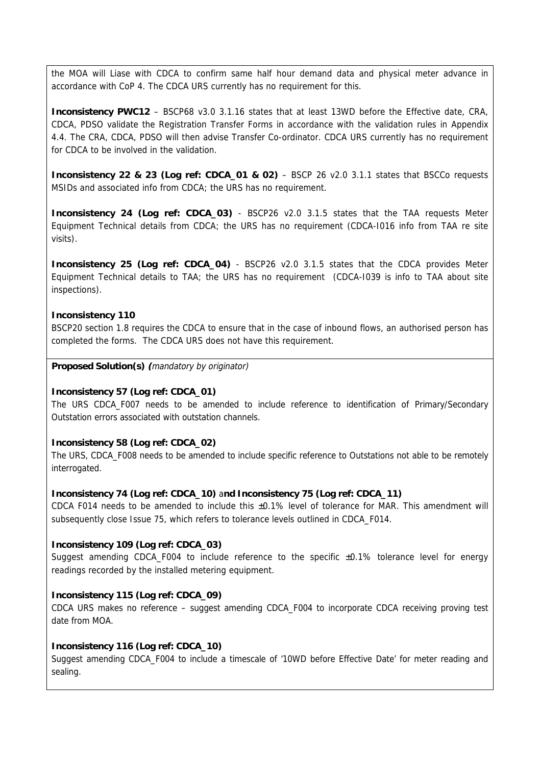the MOA will Liase with CDCA to confirm same half hour demand data and physical meter advance in accordance with CoP 4. The CDCA URS currently has no requirement for this.

**Inconsistency PWC12** – BSCP68 v3.0 3.1.16 states that at least 13WD before the Effective date, CRA, CDCA, PDSO validate the Registration Transfer Forms in accordance with the validation rules in Appendix 4.4. The CRA, CDCA, PDSO will then advise Transfer Co-ordinator. CDCA URS currently has no requirement for CDCA to be involved in the validation.

**Inconsistency 22 & 23 (Log ref: CDCA\_01 & 02)** – BSCP 26 v2.0 3.1.1 states that BSCCo requests MSIDs and associated info from CDCA; the URS has no requirement.

**Inconsistency 24 (Log ref: CDCA\_03)** - BSCP26 v2.0 3.1.5 states that the TAA requests Meter Equipment Technical details from CDCA; the URS has no requirement (CDCA-I016 info from TAA re site visits).

**Inconsistency 25 (Log ref: CDCA\_04)** - BSCP26 v2.0 3.1.5 states that the CDCA provides Meter Equipment Technical details to TAA; the URS has no requirement (CDCA-I039 is info to TAA about site inspections).

## **Inconsistency 110**

BSCP20 section 1.8 requires the CDCA to ensure that in the case of inbound flows, an authorised person has completed the forms. The CDCA URS does not have this requirement.

**Proposed Solution(s) (**mandatory by originator)

### **Inconsistency 57 (Log ref: CDCA\_01)**

The URS CDCA\_F007 needs to be amended to include reference to identification of Primary/Secondary Outstation errors associated with outstation channels.

### **Inconsistency 58 (Log ref: CDCA\_02)**

The URS, CDCA\_F008 needs to be amended to include specific reference to Outstations not able to be remotely interrogated.

### **Inconsistency 74 (Log ref: CDCA\_10)** a**nd Inconsistency 75 (Log ref: CDCA\_11)**

CDCA F014 needs to be amended to include this ±0.1% level of tolerance for MAR. This amendment will subsequently close Issue 75, which refers to tolerance levels outlined in CDCA\_F014.

# **Inconsistency 109 (Log ref: CDCA\_03)**

Suggest amending CDCA\_F004 to include reference to the specific ±0.1% tolerance level for energy readings recorded by the installed metering equipment.

# **Inconsistency 115 (Log ref: CDCA\_09)**

CDCA URS makes no reference – suggest amending CDCA\_F004 to incorporate CDCA receiving proving test date from MOA.

### **Inconsistency 116 (Log ref: CDCA\_10)**

Suggest amending CDCA\_F004 to include a timescale of '10WD before Effective Date' for meter reading and sealing.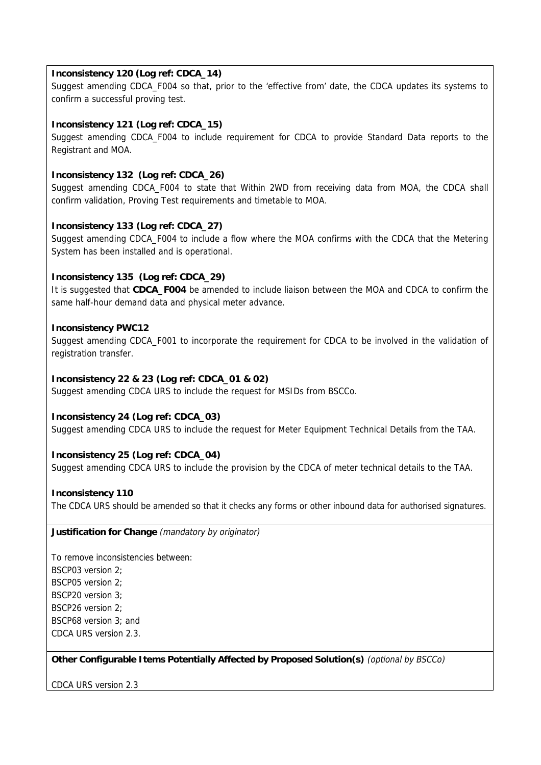# **Inconsistency 120 (Log ref: CDCA\_14)**

Suggest amending CDCA\_F004 so that, prior to the 'effective from' date, the CDCA updates its systems to confirm a successful proving test.

# **Inconsistency 121 (Log ref: CDCA\_15)**

Suggest amending CDCA F004 to include requirement for CDCA to provide Standard Data reports to the Registrant and MOA.

# **Inconsistency 132 (Log ref: CDCA\_26)**

Suggest amending CDCA\_F004 to state that Within 2WD from receiving data from MOA, the CDCA shall confirm validation, Proving Test requirements and timetable to MOA.

# **Inconsistency 133 (Log ref: CDCA\_27)**

Suggest amending CDCA\_F004 to include a flow where the MOA confirms with the CDCA that the Metering System has been installed and is operational.

# **Inconsistency 135 (Log ref: CDCA\_29)**

It is suggested that **CDCA\_F004** be amended to include liaison between the MOA and CDCA to confirm the same half-hour demand data and physical meter advance.

# **Inconsistency PWC12**

Suggest amending CDCA\_F001 to incorporate the requirement for CDCA to be involved in the validation of registration transfer.

# **Inconsistency 22 & 23 (Log ref: CDCA\_01 & 02)**

Suggest amending CDCA URS to include the request for MSIDs from BSCCo.

# **Inconsistency 24 (Log ref: CDCA\_03)**

Suggest amending CDCA URS to include the request for Meter Equipment Technical Details from the TAA.

# **Inconsistency 25 (Log ref: CDCA\_04)**

Suggest amending CDCA URS to include the provision by the CDCA of meter technical details to the TAA.

# **Inconsistency 110**

The CDCA URS should be amended so that it checks any forms or other inbound data for authorised signatures.

**Justification for Change** (mandatory by originator)

To remove inconsistencies between: BSCP03 version 2; BSCP05 version 2; BSCP20 version 3; BSCP26 version 2; BSCP68 version 3; and CDCA URS version 2.3.

**Other Configurable Items Potentially Affected by Proposed Solution(s)** (optional by BSCCo)

CDCA URS version 2.3